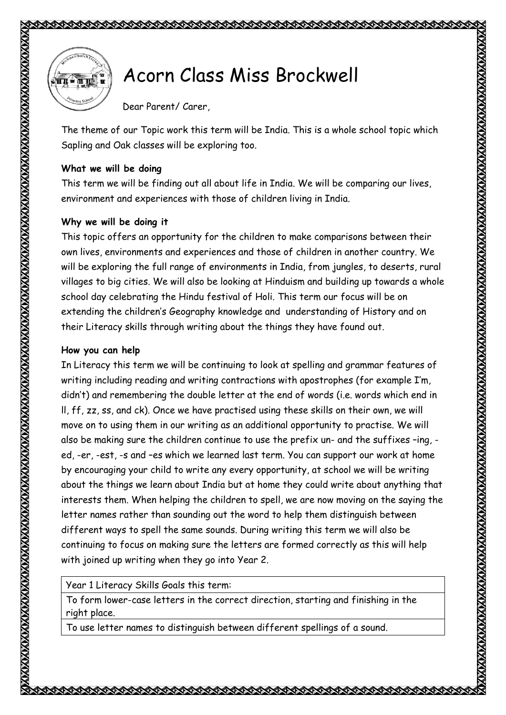

## Acorn Class Miss Brockwell (ATTE THE MILLER SPOCKWELL

Dear Parent/ Carer,

The theme of our Topic work this term will be India. This is a whole school topic which Sapling and Oak classes will be exploring too.

## **What we will be doing**

This term we will be finding out all about life in India. We will be comparing our lives, environment and experiences with those of children living in India.

## **Why we will be doing it**

This topic offers an opportunity for the children to make comparisons between their own lives, environments and experiences and those of children in another country. We will be exploring the full range of environments in India, from jungles, to deserts, rural villages to big cities. We will also be looking at Hinduism and building up towards a whole school day celebrating the Hindu festival of Holi. This term our focus will be on extending the children's Geography knowledge and understanding of History and on their Literacy skills through writing about the things they have found out.

## **How you can help**

In Literacy this term we will be continuing to look at spelling and grammar features of writing including reading and writing contractions with apostrophes (for example I'm, didn't) and remembering the double letter at the end of words (i.e. words which end in ll, ff, zz, ss, and ck). Once we have practised using these skills on their own, we will move on to using them in our writing as an additional opportunity to practise. We will also be making sure the children continue to use the prefix un- and the suffixes –ing, ed, -er, -est, -s and –es which we learned last term. You can support our work at home by encouraging your child to write any every opportunity, at school we will be writing about the things we learn about India but at home they could write about anything that interests them. When helping the children to spell, we are now moving on the saying the letter names rather than sounding out the word to help them distinguish between different ways to spell the same sounds. During writing this term we will also be continuing to focus on making sure the letters are formed correctly as this will help with joined up writing when they go into Year 2.

Year 1 Literacy Skills Goals this term:

To form lower-case letters in the correct direction, starting and finishing in the right place.

To use letter names to distinguish between different spellings of a sound.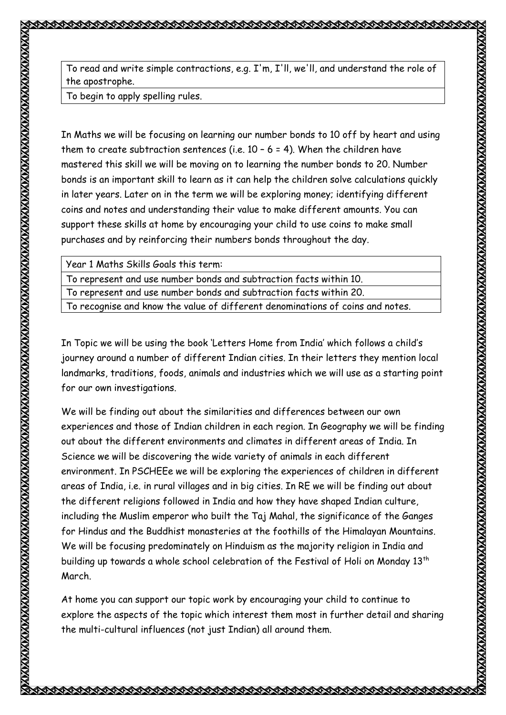To read and write simple contractions, e.g. I'm, I'll, we'll, and understand the role of the apostrophe.

**ELECTRO COMPOST** 

To begin to apply spelling rules.

In Maths we will be focusing on learning our number bonds to 10 off by heart and using them to create subtraction sentences (i.e.  $10 - 6 = 4$ ). When the children have mastered this skill we will be moving on to learning the number bonds to 20. Number bonds is an important skill to learn as it can help the children solve calculations quickly in later years. Later on in the term we will be exploring money; identifying different coins and notes and understanding their value to make different amounts. You can support these skills at home by encouraging your child to use coins to make small purchases and by reinforcing their numbers bonds throughout the day.

| Year 1 Maths Skills Goals this term:                                           |
|--------------------------------------------------------------------------------|
| To represent and use number bonds and subtraction facts within 10.             |
| To represent and use number bonds and subtraction facts within 20.             |
| To recognise and know the value of different denominations of coins and notes. |

In Topic we will be using the book 'Letters Home from India' which follows a child's journey around a number of different Indian cities. In their letters they mention local landmarks, traditions, foods, animals and industries which we will use as a starting point for our own investigations.

We will be finding out about the similarities and differences between our own experiences and those of Indian children in each region. In Geography we will be finding out about the different environments and climates in different areas of India. In Science we will be discovering the wide variety of animals in each different environment. In PSCHEEe we will be exploring the experiences of children in different areas of India, i.e. in rural villages and in big cities. In RE we will be finding out about the different religions followed in India and how they have shaped Indian culture, including the Muslim emperor who built the Taj Mahal, the significance of the Ganges for Hindus and the Buddhist monasteries at the foothills of the Himalayan Mountains. We will be focusing predominately on Hinduism as the majority religion in India and building up towards a whole school celebration of the Festival of Holi on Monday 13th March.

At home you can support our topic work by encouraging your child to continue to explore the aspects of the topic which interest them most in further detail and sharing the multi-cultural influences (not just Indian) all around them.